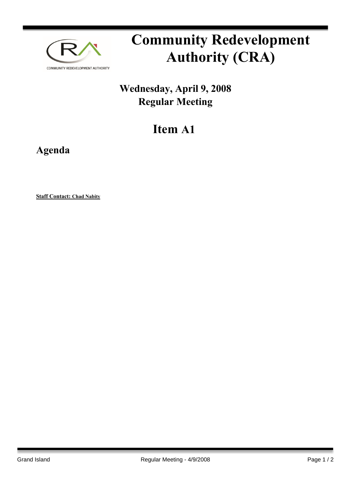

## **Community Redevelopment Authority (CRA)**

## **Wednesday, April 9, 2008 Regular Meeting**

## **Item A1**

**Agenda**

**Staff Contact: Chad Nabity**